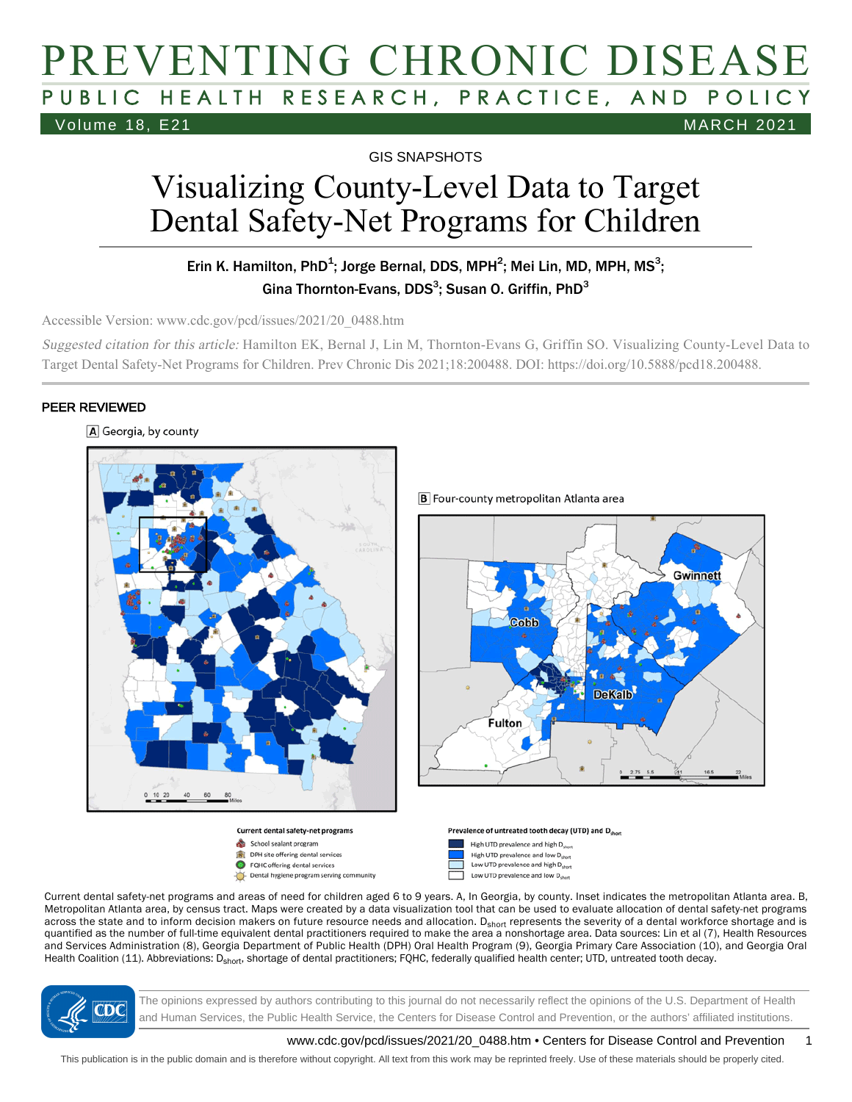# PREVENTING CHRONIC DISEASE PUBLIC HEALTH RESEARCH, PRACTICE, AND POLICY Volume 18, E21 MARCH 2021

GIS SNAPSHOTS

# Visualizing County-Level Data to Target Dental Safety-Net Programs for Children

#### Erin K. Hamilton, PhD<sup>1</sup>; Jorge Bernal, DDS, MPH<sup>2</sup>; Mei Lin, MD, MPH, MS<sup>3</sup>; Gina Thornton-Evans, DDS $^3$ ; Susan O. Griffin, PhD $^3$

Accessible Version: www.cdc.gov/pcd/issues/2021/20\_0488.htm

Suggested citation for this article: Hamilton EK, Bernal J, Lin M, Thornton-Evans G, Griffin SO. Visualizing County-Level Data to Target Dental Safety-Net Programs for Children. Prev Chronic Dis 2021;18:200488. DOI: https://doi.org/10.5888/pcd18.200488.

#### PEER REVIEWED







Dental hygiene program serving community

**B** Four-county metropolitan Atlanta area







Current dental safety-net programs and areas of need for children aged 6 to 9 years. A, In Georgia, by county. Inset indicates the metropolitan Atlanta area. B, Metropolitan Atlanta area, by census tract. Maps were created by a data visualization tool that can be used to evaluate allocation of dental safety-net programs across the state and to inform decision makers on future resource needs and allocation. D<sub>short</sub> represents the severity of a dental workforce shortage and is quantified as the number of full-time equivalent dental practitioners required to make the area a nonshortage area. Data sources: Lin et al (7), Health Resources and Services Administration (8), Georgia Department of Public Health (DPH) Oral Health Program (9), Georgia Primary Care Association (10), and Georgia Oral Health Coalition (11). Abbreviations: D<sub>short</sub>, shortage of dental practitioners; FQHC, federally qualified health center; UTD, untreated tooth decay.



The opinions expressed by authors contributing to this journal do not necessarily reflect the opinions of the U.S. Department of Health and Human Services, the Public Health Service, the Centers for Disease Control and Prevention, or the authors' affiliated institutions.

www.cdc.gov/pcd/issues/2021/20\_0488.htm • Centers for Disease Control and Prevention 1

This publication is in the public domain and is therefore without copyright. All text from this work may be reprinted freely. Use of these materials should be properly cited.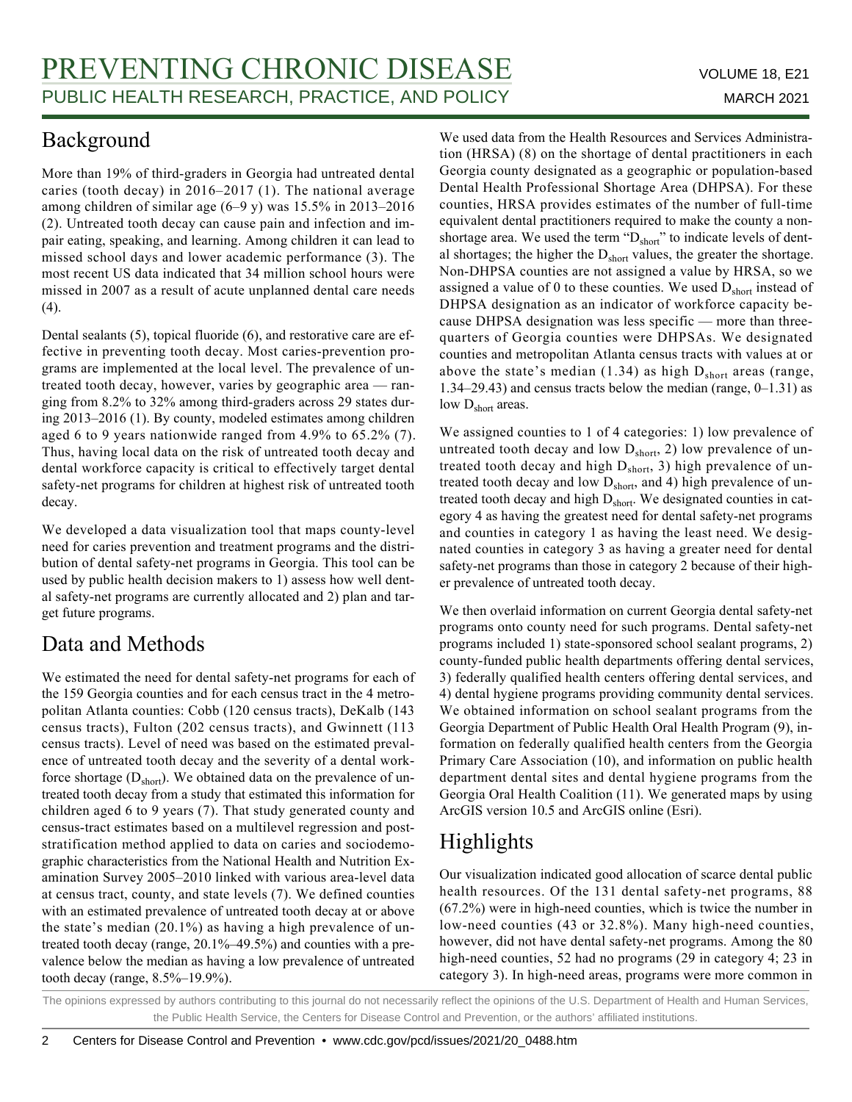## Background

More than 19% of third-graders in Georgia had untreated dental caries (tooth decay) in 2016–2017 (1). The national average among children of similar age (6–9 y) was 15.5% in 2013–2016 (2). Untreated tooth decay can cause pain and infection and impair eating, speaking, and learning. Among children it can lead to missed school days and lower academic performance (3). The most recent US data indicated that 34 million school hours were missed in 2007 as a result of acute unplanned dental care needs (4).

Dental sealants (5), topical fluoride (6), and restorative care are effective in preventing tooth decay. Most caries-prevention programs are implemented at the local level. The prevalence of untreated tooth decay, however, varies by geographic area — ranging from 8.2% to 32% among third-graders across 29 states during 2013–2016 (1). By county, modeled estimates among children aged 6 to 9 years nationwide ranged from 4.9% to 65.2% (7). Thus, having local data on the risk of untreated tooth decay and dental workforce capacity is critical to effectively target dental safety-net programs for children at highest risk of untreated tooth decay.

We developed a data visualization tool that maps county-level need for caries prevention and treatment programs and the distribution of dental safety-net programs in Georgia. This tool can be used by public health decision makers to 1) assess how well dental safety-net programs are currently allocated and 2) plan and target future programs.

# Data and Methods

We estimated the need for dental safety-net programs for each of the 159 Georgia counties and for each census tract in the 4 metropolitan Atlanta counties: Cobb (120 census tracts), DeKalb (143 census tracts), Fulton (202 census tracts), and Gwinnett (113 census tracts). Level of need was based on the estimated prevalence of untreated tooth decay and the severity of a dental workforce shortage  $(D_{short})$ . We obtained data on the prevalence of untreated tooth decay from a study that estimated this information for children aged 6 to 9 years (7). That study generated county and census-tract estimates based on a multilevel regression and poststratification method applied to data on caries and sociodemographic characteristics from the National Health and Nutrition Examination Survey 2005–2010 linked with various area-level data at census tract, county, and state levels (7). We defined counties with an estimated prevalence of untreated tooth decay at or above the state's median (20.1%) as having a high prevalence of untreated tooth decay (range, 20.1%–49.5%) and counties with a prevalence below the median as having a low prevalence of untreated tooth decay (range, 8.5%–19.9%).

We used data from the Health Resources and Services Administration (HRSA) (8) on the shortage of dental practitioners in each Georgia county designated as a geographic or population-based Dental Health Professional Shortage Area (DHPSA). For these counties, HRSA provides estimates of the number of full-time equivalent dental practitioners required to make the county a nonshortage area. We used the term "D<sub>short</sub>" to indicate levels of dental shortages; the higher the  $D_{short}$  values, the greater the shortage. Non-DHPSA counties are not assigned a value by HRSA, so we assigned a value of 0 to these counties. We used  $D<sub>short</sub>$  instead of DHPSA designation as an indicator of workforce capacity because DHPSA designation was less specific — more than threequarters of Georgia counties were DHPSAs. We designated counties and metropolitan Atlanta census tracts with values at or above the state's median  $(1.34)$  as high  $D<sub>short</sub>$  areas (range, 1.34–29.43) and census tracts below the median (range, 0–1.31) as low D<sub>short</sub> areas.

We assigned counties to 1 of 4 categories: 1) low prevalence of untreated tooth decay and low  $D_{short}$ , 2) low prevalence of untreated tooth decay and high  $D_{short}$ , 3) high prevalence of untreated tooth decay and low  $D_{short}$ , and 4) high prevalence of untreated tooth decay and high  $D<sub>short</sub>$ . We designated counties in category 4 as having the greatest need for dental safety-net programs and counties in category 1 as having the least need. We designated counties in category 3 as having a greater need for dental safety-net programs than those in category 2 because of their higher prevalence of untreated tooth decay.

We then overlaid information on current Georgia dental safety-net programs onto county need for such programs. Dental safety-net programs included 1) state-sponsored school sealant programs, 2) county-funded public health departments offering dental services, 3) federally qualified health centers offering dental services, and 4) dental hygiene programs providing community dental services. We obtained information on school sealant programs from the Georgia Department of Public Health Oral Health Program (9), information on federally qualified health centers from the Georgia Primary Care Association (10), and information on public health department dental sites and dental hygiene programs from the Georgia Oral Health Coalition (11). We generated maps by using ArcGIS version 10.5 and ArcGIS online (Esri).

# Highlights

Our visualization indicated good allocation of scarce dental public health resources. Of the 131 dental safety-net programs, 88 (67.2%) were in high-need counties, which is twice the number in low-need counties (43 or 32.8%). Many high-need counties, however, did not have dental safety-net programs. Among the 80 high-need counties, 52 had no programs (29 in category 4; 23 in category 3). In high-need areas, programs were more common in

The opinions expressed by authors contributing to this journal do not necessarily reflect the opinions of the U.S. Department of Health and Human Services, the Public Health Service, the Centers for Disease Control and Prevention, or the authors' affiliated institutions.